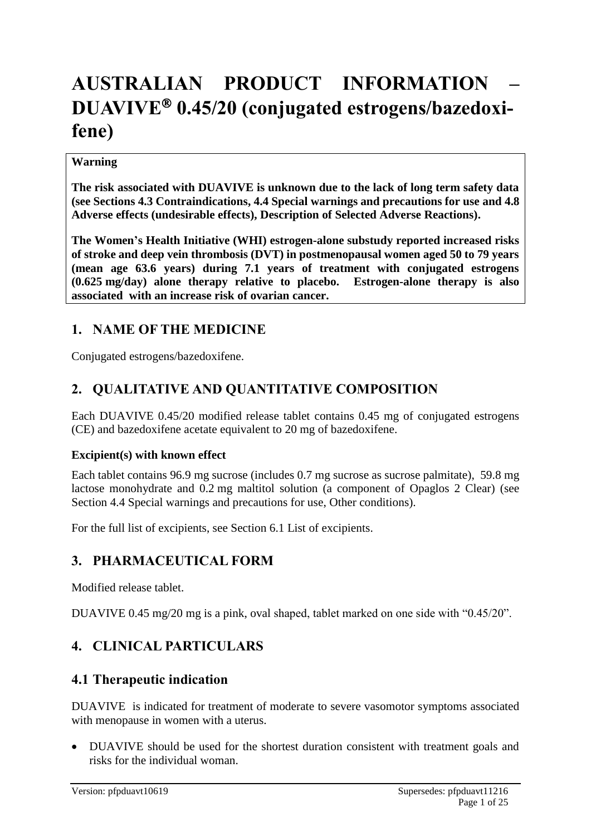# **AUSTRALIAN PRODUCT INFORMATION – DUAVIVE 0.45/20 (conjugated estrogens/bazedoxifene)**

#### **Warning**

**The risk associated with DUAVIVE is unknown due to the lack of long term safety data (see Sections 4.3 Contraindications, 4.4 Special warnings and precautions for use and 4.8 Adverse effects (undesirable effects), Description of Selected Adverse Reactions).** 

**The Women's Health Initiative (WHI) estrogen-alone substudy reported increased risks of stroke and deep vein thrombosis (DVT) in postmenopausal women aged 50 to 79 years (mean age 63.6 years) during 7.1 years of treatment with conjugated estrogens (0.625 mg/day) alone therapy relative to placebo. Estrogen-alone therapy is also associated with an increase risk of ovarian cancer.** 

### **1. NAME OF THE MEDICINE**

Conjugated estrogens/bazedoxifene.

### **2. QUALITATIVE AND QUANTITATIVE COMPOSITION**

Each DUAVIVE 0.45/20 modified release tablet contains 0.45 mg of conjugated estrogens (CE) and bazedoxifene acetate equivalent to 20 mg of bazedoxifene.

#### **Excipient(s) with known effect**

Each tablet contains 96.9 mg sucrose (includes 0.7 mg sucrose as sucrose palmitate), 59.8 mg lactose monohydrate and 0.2 mg maltitol solution (a component of Opaglos 2 Clear) (see Section 4.4 Special warnings and precautions for use, Other conditions).

For the full list of excipients, see Section 6.1 List of excipients.

### **3. PHARMACEUTICAL FORM**

Modified release tablet.

DUAVIVE 0.45 mg/20 mg is a pink, oval shaped, tablet marked on one side with "0.45/20".

### **4. CLINICAL PARTICULARS**

### **4.1 Therapeutic indication**

DUAVIVE is indicated for treatment of moderate to severe vasomotor symptoms associated with menopause in women with a uterus.

• DUAVIVE should be used for the shortest duration consistent with treatment goals and risks for the individual woman.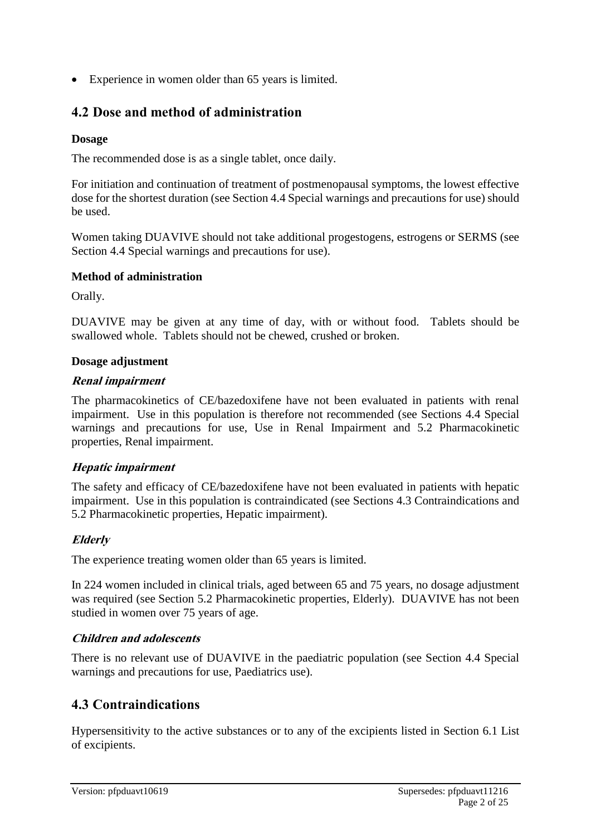• Experience in women older than 65 years is limited.

### **4.2 Dose and method of administration**

#### **Dosage**

The recommended dose is as a single tablet, once daily.

For initiation and continuation of treatment of postmenopausal symptoms, the lowest effective dose for the shortest duration (see Section 4.4 Special warnings and precautions for use) should be used.

Women taking DUAVIVE should not take additional progestogens, estrogens or SERMS (see Section 4.4 Special warnings and precautions for use).

#### **Method of administration**

Orally.

DUAVIVE may be given at any time of day, with or without food. Tablets should be swallowed whole. Tablets should not be chewed, crushed or broken.

#### **Dosage adjustment**

#### **Renal impairment**

The pharmacokinetics of CE/bazedoxifene have not been evaluated in patients with renal impairment. Use in this population is therefore not recommended (see Sections 4.4 Special warnings and precautions for use, Use in Renal Impairment and 5.2 Pharmacokinetic properties, Renal impairment.

#### **Hepatic impairment**

The safety and efficacy of CE/bazedoxifene have not been evaluated in patients with hepatic impairment. Use in this population is contraindicated (see Sections 4.3 Contraindications and 5.2 Pharmacokinetic properties, Hepatic impairment).

#### **Elderly**

The experience treating women older than 65 years is limited.

In 224 women included in clinical trials, aged between 65 and 75 years, no dosage adjustment was required (see Section 5.2 Pharmacokinetic properties, Elderly). DUAVIVE has not been studied in women over 75 years of age.

#### **Children and adolescents**

There is no relevant use of DUAVIVE in the paediatric population (see Section 4.4 Special warnings and precautions for use, Paediatrics use).

### **4.3 Contraindications**

Hypersensitivity to the active substances or to any of the excipients listed in Section 6.1 List of excipients.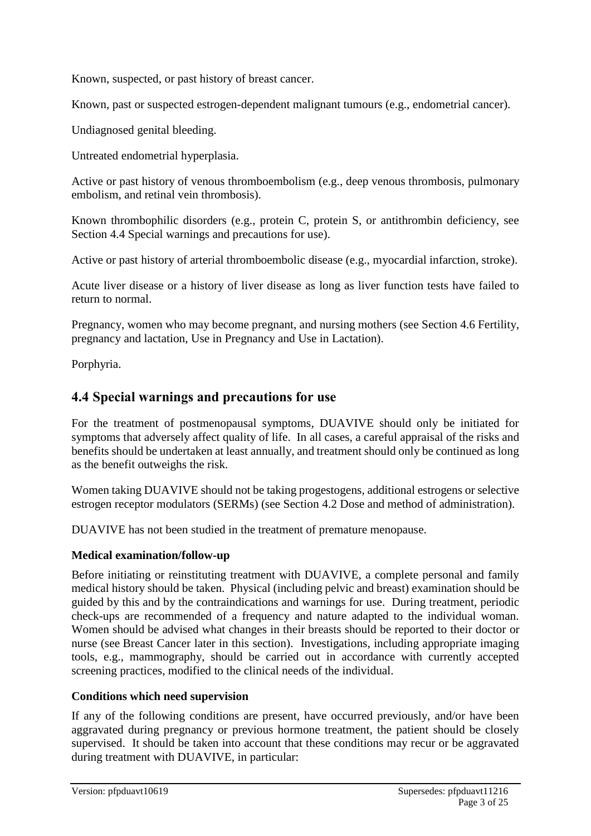Known, suspected, or past history of breast cancer.

Known, past or suspected estrogen-dependent malignant tumours (e.g., endometrial cancer).

Undiagnosed genital bleeding.

Untreated endometrial hyperplasia.

Active or past history of venous thromboembolism (e.g., deep venous thrombosis, pulmonary embolism, and retinal vein thrombosis).

Known thrombophilic disorders (e.g., protein C, protein S, or antithrombin deficiency, see Section 4.4 Special warnings and precautions for use).

Active or past history of arterial thromboembolic disease (e.g., myocardial infarction, stroke).

Acute liver disease or a history of liver disease as long as liver function tests have failed to return to normal.

Pregnancy, women who may become pregnant, and nursing mothers (see Section 4.6 Fertility, pregnancy and lactation, Use in Pregnancy and Use in Lactation).

Porphyria.

### **4.4 Special warnings and precautions for use**

For the treatment of postmenopausal symptoms, DUAVIVE should only be initiated for symptoms that adversely affect quality of life. In all cases, a careful appraisal of the risks and benefits should be undertaken at least annually, and treatment should only be continued as long as the benefit outweighs the risk.

Women taking DUAVIVE should not be taking progestogens, additional estrogens or selective estrogen receptor modulators (SERMs) (see Section 4.2 Dose and method of administration).

DUAVIVE has not been studied in the treatment of premature menopause.

#### **Medical examination/follow-up**

Before initiating or reinstituting treatment with DUAVIVE, a complete personal and family medical history should be taken. Physical (including pelvic and breast) examination should be guided by this and by the contraindications and warnings for use. During treatment, periodic check-ups are recommended of a frequency and nature adapted to the individual woman. Women should be advised what changes in their breasts should be reported to their doctor or nurse (see Breast Cancer later in this section). Investigations, including appropriate imaging tools, e.g., mammography, should be carried out in accordance with currently accepted screening practices, modified to the clinical needs of the individual.

#### **Conditions which need supervision**

If any of the following conditions are present, have occurred previously, and/or have been aggravated during pregnancy or previous hormone treatment, the patient should be closely supervised. It should be taken into account that these conditions may recur or be aggravated during treatment with DUAVIVE, in particular: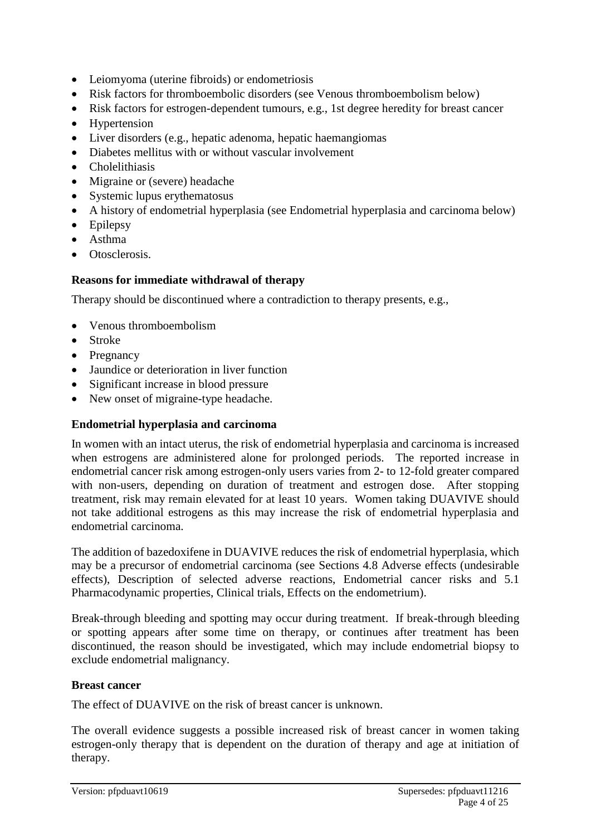- Leiomyoma (uterine fibroids) or endometriosis
- Risk factors for thromboembolic disorders (see Venous thromboembolism below)
- Risk factors for estrogen-dependent tumours, e.g., 1st degree heredity for breast cancer
- Hypertension
- Liver disorders (e.g., hepatic adenoma, hepatic haemangiomas
- Diabetes mellitus with or without vascular involvement
- Cholelithiasis
- Migraine or (severe) headache
- Systemic lupus erythematosus
- A history of endometrial hyperplasia (see Endometrial hyperplasia and carcinoma below)
- Epilepsy
- Asthma
- Otosclerosis.

#### **Reasons for immediate withdrawal of therapy**

Therapy should be discontinued where a contradiction to therapy presents, e.g.,

- Venous thromboembolism
- Stroke
- Pregnancy
- Jaundice or deterioration in liver function
- Significant increase in blood pressure
- New onset of migraine-type headache.

#### **Endometrial hyperplasia and carcinoma**

In women with an intact uterus, the risk of endometrial hyperplasia and carcinoma is increased when estrogens are administered alone for prolonged periods. The reported increase in endometrial cancer risk among estrogen-only users varies from 2- to 12-fold greater compared with non-users, depending on duration of treatment and estrogen dose. After stopping treatment, risk may remain elevated for at least 10 years. Women taking DUAVIVE should not take additional estrogens as this may increase the risk of endometrial hyperplasia and endometrial carcinoma.

The addition of bazedoxifene in DUAVIVE reduces the risk of endometrial hyperplasia, which may be a precursor of endometrial carcinoma (see Sections 4.8 Adverse effects (undesirable effects), Description of selected adverse reactions, Endometrial cancer risks and 5.1 Pharmacodynamic properties, Clinical trials, Effects on the endometrium).

Break-through bleeding and spotting may occur during treatment. If break-through bleeding or spotting appears after some time on therapy, or continues after treatment has been discontinued, the reason should be investigated, which may include endometrial biopsy to exclude endometrial malignancy.

#### **Breast cancer**

The effect of DUAVIVE on the risk of breast cancer is unknown.

The overall evidence suggests a possible increased risk of breast cancer in women taking estrogen-only therapy that is dependent on the duration of therapy and age at initiation of therapy.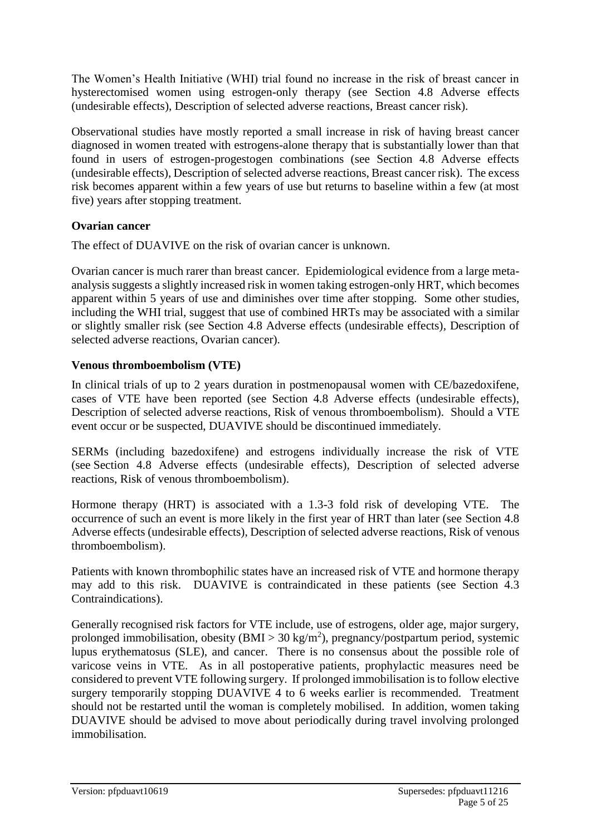The Women's Health Initiative (WHI) trial found no increase in the risk of breast cancer in hysterectomised women using estrogen-only therapy (see Section 4.8 Adverse effects (undesirable effects), Description of selected adverse reactions, Breast cancer risk).

Observational studies have mostly reported a small increase in risk of having breast cancer diagnosed in women treated with estrogens-alone therapy that is substantially lower than that found in users of estrogen-progestogen combinations (see Section 4.8 Adverse effects (undesirable effects), Description of selected adverse reactions, Breast cancer risk). The excess risk becomes apparent within a few years of use but returns to baseline within a few (at most five) years after stopping treatment.

#### **Ovarian cancer**

The effect of DUAVIVE on the risk of ovarian cancer is unknown.

Ovarian cancer is much rarer than breast cancer. Epidemiological evidence from a large metaanalysis suggests a slightly increased risk in women taking estrogen-only HRT, which becomes apparent within 5 years of use and diminishes over time after stopping. Some other studies, including the WHI trial, suggest that use of combined HRTs may be associated with a similar or slightly smaller risk (see Section 4.8 Adverse effects (undesirable effects), Description of selected adverse reactions, Ovarian cancer).

#### **Venous thromboembolism (VTE)**

In clinical trials of up to 2 years duration in postmenopausal women with CE/bazedoxifene, cases of VTE have been reported (see Section 4.8 Adverse effects (undesirable effects), Description of selected adverse reactions, Risk of venous thromboembolism). Should a VTE event occur or be suspected, DUAVIVE should be discontinued immediately.

SERMs (including bazedoxifene) and estrogens individually increase the risk of VTE (see Section 4.8 Adverse effects (undesirable effects), Description of selected adverse reactions, Risk of venous thromboembolism).

Hormone therapy (HRT) is associated with a 1.3-3 fold risk of developing VTE. The occurrence of such an event is more likely in the first year of HRT than later (see Section 4.8 Adverse effects (undesirable effects), Description of selected adverse reactions, Risk of venous thromboembolism).

Patients with known thrombophilic states have an increased risk of VTE and hormone therapy may add to this risk. DUAVIVE is contraindicated in these patients (see Section 4.3 Contraindications).

Generally recognised risk factors for VTE include, use of estrogens, older age, major surgery, prolonged immobilisation, obesity  $(BMI > 30 \text{ kg/m}^2)$ , pregnancy/postpartum period, systemic lupus erythematosus (SLE), and cancer. There is no consensus about the possible role of varicose veins in VTE. As in all postoperative patients, prophylactic measures need be considered to prevent VTE following surgery. If prolonged immobilisation is to follow elective surgery temporarily stopping DUAVIVE 4 to 6 weeks earlier is recommended. Treatment should not be restarted until the woman is completely mobilised. In addition, women taking DUAVIVE should be advised to move about periodically during travel involving prolonged immobilisation.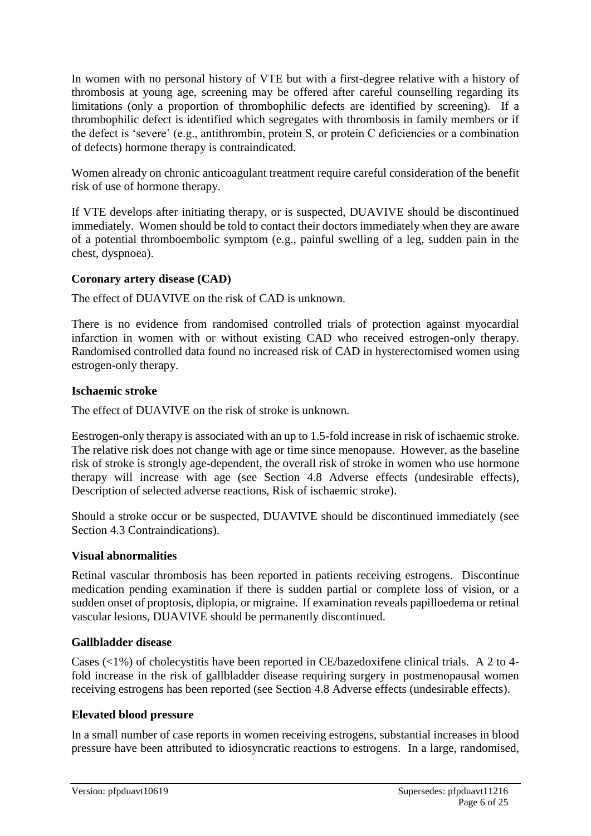In women with no personal history of VTE but with a first-degree relative with a history of thrombosis at young age, screening may be offered after careful counselling regarding its limitations (only a proportion of thrombophilic defects are identified by screening). If a thrombophilic defect is identified which segregates with thrombosis in family members or if the defect is 'severe' (e.g., antithrombin, protein S, or protein C deficiencies or a combination of defects) hormone therapy is contraindicated.

Women already on chronic anticoagulant treatment require careful consideration of the benefit risk of use of hormone therapy.

If VTE develops after initiating therapy, or is suspected, DUAVIVE should be discontinued immediately. Women should be told to contact their doctors immediately when they are aware of a potential thromboembolic symptom (e.g., painful swelling of a leg, sudden pain in the chest, dyspnoea).

#### **Coronary artery disease (CAD)**

The effect of DUAVIVE on the risk of CAD is unknown.

There is no evidence from randomised controlled trials of protection against myocardial infarction in women with or without existing CAD who received estrogen-only therapy. Randomised controlled data found no increased risk of CAD in hysterectomised women using estrogen-only therapy.

#### **Ischaemic stroke**

The effect of DUAVIVE on the risk of stroke is unknown.

Eestrogen-only therapy is associated with an up to 1.5-fold increase in risk of ischaemic stroke. The relative risk does not change with age or time since menopause. However, as the baseline risk of stroke is strongly age-dependent, the overall risk of stroke in women who use hormone therapy will increase with age (see Section 4.8 Adverse effects (undesirable effects), Description of selected adverse reactions, Risk of ischaemic stroke).

Should a stroke occur or be suspected, DUAVIVE should be discontinued immediately (see Section 4.3 Contraindications).

#### **Visual abnormalities**

Retinal vascular thrombosis has been reported in patients receiving estrogens. Discontinue medication pending examination if there is sudden partial or complete loss of vision, or a sudden onset of proptosis, diplopia, or migraine. If examination reveals papilloedema or retinal vascular lesions, DUAVIVE should be permanently discontinued.

#### **Gallbladder disease**

Cases (<1%) of cholecystitis have been reported in CE/bazedoxifene clinical trials. A 2 to 4 fold increase in the risk of gallbladder disease requiring surgery in postmenopausal women receiving estrogens has been reported (see Section 4.8 Adverse effects (undesirable effects).

#### **Elevated blood pressure**

In a small number of case reports in women receiving estrogens, substantial increases in blood pressure have been attributed to idiosyncratic reactions to estrogens. In a large, randomised,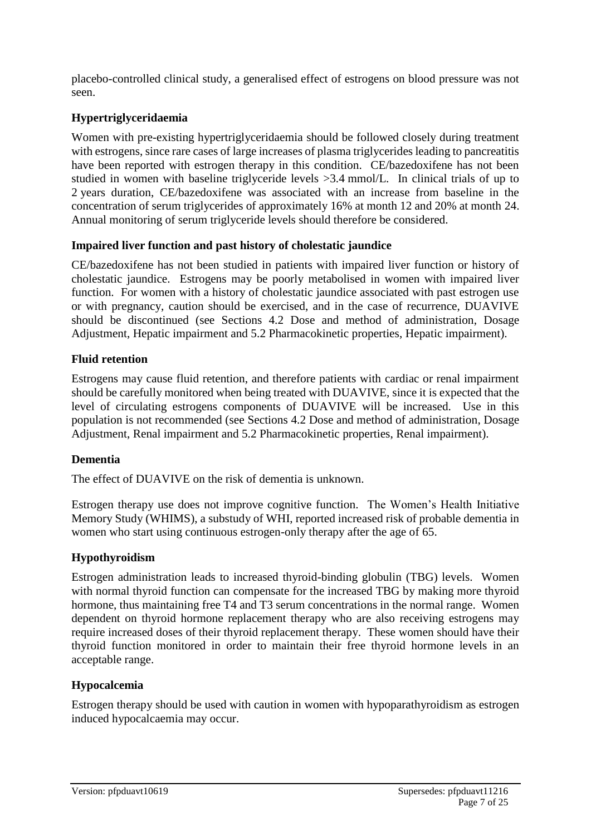placebo-controlled clinical study, a generalised effect of estrogens on blood pressure was not seen.

#### **Hypertriglyceridaemia**

Women with pre-existing hypertriglyceridaemia should be followed closely during treatment with estrogens, since rare cases of large increases of plasma triglycerides leading to pancreatitis have been reported with estrogen therapy in this condition. CE/bazedoxifene has not been studied in women with baseline triglyceride levels >3.4 mmol/L. In clinical trials of up to 2 years duration, CE/bazedoxifene was associated with an increase from baseline in the concentration of serum triglycerides of approximately 16% at month 12 and 20% at month 24. Annual monitoring of serum triglyceride levels should therefore be considered.

#### **Impaired liver function and past history of cholestatic jaundice**

CE/bazedoxifene has not been studied in patients with impaired liver function or history of cholestatic jaundice. Estrogens may be poorly metabolised in women with impaired liver function. For women with a history of cholestatic jaundice associated with past estrogen use or with pregnancy, caution should be exercised, and in the case of recurrence, DUAVIVE should be discontinued (see Sections 4.2 Dose and method of administration, Dosage Adjustment, Hepatic impairment and 5.2 Pharmacokinetic properties, Hepatic impairment).

#### **Fluid retention**

Estrogens may cause fluid retention, and therefore patients with cardiac or renal impairment should be carefully monitored when being treated with DUAVIVE, since it is expected that the level of circulating estrogens components of DUAVIVE will be increased. Use in this population is not recommended (see Sections 4.2 Dose and method of administration, Dosage Adjustment, Renal impairment and 5.2 Pharmacokinetic properties, Renal impairment).

#### **Dementia**

The effect of DUAVIVE on the risk of dementia is unknown.

Estrogen therapy use does not improve cognitive function. The Women's Health Initiative Memory Study (WHIMS), a substudy of WHI, reported increased risk of probable dementia in women who start using continuous estrogen-only therapy after the age of 65.

#### **Hypothyroidism**

Estrogen administration leads to increased thyroid-binding globulin (TBG) levels. Women with normal thyroid function can compensate for the increased TBG by making more thyroid hormone, thus maintaining free T4 and T3 serum concentrations in the normal range. Women dependent on thyroid hormone replacement therapy who are also receiving estrogens may require increased doses of their thyroid replacement therapy. These women should have their thyroid function monitored in order to maintain their free thyroid hormone levels in an acceptable range.

#### **Hypocalcemia**

Estrogen therapy should be used with caution in women with hypoparathyroidism as estrogen induced hypocalcaemia may occur.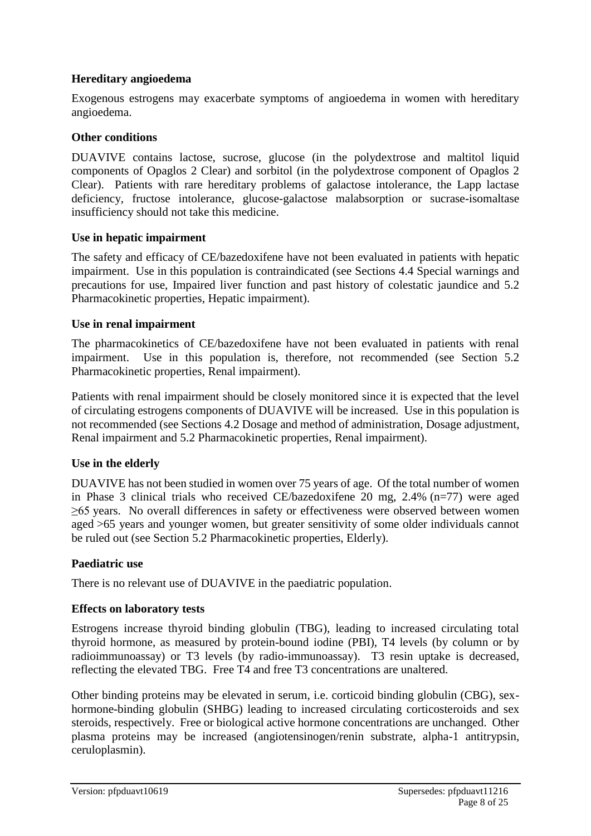#### **Hereditary angioedema**

Exogenous estrogens may exacerbate symptoms of angioedema in women with hereditary angioedema.

#### **Other conditions**

DUAVIVE contains lactose, sucrose, glucose (in the polydextrose and maltitol liquid components of Opaglos 2 Clear) and sorbitol (in the polydextrose component of Opaglos 2 Clear). Patients with rare hereditary problems of galactose intolerance, the Lapp lactase deficiency, fructose intolerance, glucose-galactose malabsorption or sucrase-isomaltase insufficiency should not take this medicine.

#### **Use in hepatic impairment**

The safety and efficacy of CE/bazedoxifene have not been evaluated in patients with hepatic impairment. Use in this population is contraindicated (see Sections 4.4 Special warnings and precautions for use, Impaired liver function and past history of colestatic jaundice and 5.2 Pharmacokinetic properties, Hepatic impairment).

#### **Use in renal impairment**

The pharmacokinetics of CE/bazedoxifene have not been evaluated in patients with renal impairment. Use in this population is, therefore, not recommended (see Section 5.2 Pharmacokinetic properties, Renal impairment).

Patients with renal impairment should be closely monitored since it is expected that the level of circulating estrogens components of DUAVIVE will be increased. Use in this population is not recommended (see Sections 4.2 Dosage and method of administration, Dosage adjustment, Renal impairment and 5.2 Pharmacokinetic properties, Renal impairment).

#### **Use in the elderly**

DUAVIVE has not been studied in women over 75 years of age. Of the total number of women in Phase 3 clinical trials who received CE/bazedoxifene 20 mg, 2.4% (n=77) were aged ≥65 years. No overall differences in safety or effectiveness were observed between women aged >65 years and younger women, but greater sensitivity of some older individuals cannot be ruled out (see Section 5.2 Pharmacokinetic properties, Elderly).

#### **Paediatric use**

There is no relevant use of DUAVIVE in the paediatric population.

#### **Effects on laboratory tests**

Estrogens increase thyroid binding globulin (TBG), leading to increased circulating total thyroid hormone, as measured by protein-bound iodine (PBI), T4 levels (by column or by radioimmunoassay) or T3 levels (by radio-immunoassay). T3 resin uptake is decreased, reflecting the elevated TBG. Free T4 and free T3 concentrations are unaltered.

Other binding proteins may be elevated in serum, i.e. corticoid binding globulin (CBG), sexhormone-binding globulin (SHBG) leading to increased circulating corticosteroids and sex steroids, respectively. Free or biological active hormone concentrations are unchanged. Other plasma proteins may be increased (angiotensinogen/renin substrate, alpha-1 antitrypsin, ceruloplasmin).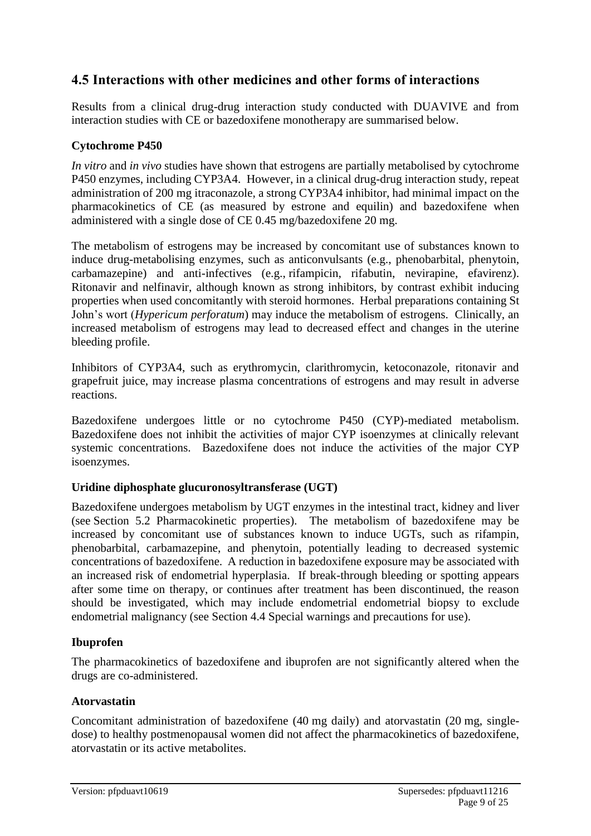### **4.5 Interactions with other medicines and other forms of interactions**

Results from a clinical drug-drug interaction study conducted with DUAVIVE and from interaction studies with CE or bazedoxifene monotherapy are summarised below.

#### **Cytochrome P450**

*In vitro* and *in vivo* studies have shown that estrogens are partially metabolised by cytochrome P450 enzymes, including CYP3A4. However, in a clinical drug-drug interaction study, repeat administration of 200 mg itraconazole, a strong CYP3A4 inhibitor, had minimal impact on the pharmacokinetics of CE (as measured by estrone and equilin) and bazedoxifene when administered with a single dose of CE 0.45 mg/bazedoxifene 20 mg.

The metabolism of estrogens may be increased by concomitant use of substances known to induce drug-metabolising enzymes, such as anticonvulsants (e.g., phenobarbital, phenytoin, carbamazepine) and anti-infectives (e.g., rifampicin, rifabutin, nevirapine, efavirenz). Ritonavir and nelfinavir, although known as strong inhibitors, by contrast exhibit inducing properties when used concomitantly with steroid hormones. Herbal preparations containing St John's wort (*Hypericum perforatum*) may induce the metabolism of estrogens. Clinically, an increased metabolism of estrogens may lead to decreased effect and changes in the uterine bleeding profile.

Inhibitors of CYP3A4, such as erythromycin, clarithromycin, ketoconazole, ritonavir and grapefruit juice, may increase plasma concentrations of estrogens and may result in adverse reactions.

Bazedoxifene undergoes little or no cytochrome P450 (CYP)-mediated metabolism. Bazedoxifene does not inhibit the activities of major CYP isoenzymes at clinically relevant systemic concentrations. Bazedoxifene does not induce the activities of the major CYP isoenzymes.

#### **Uridine diphosphate glucuronosyltransferase (UGT)**

Bazedoxifene undergoes metabolism by UGT enzymes in the intestinal tract, kidney and liver (see Section 5.2 Pharmacokinetic properties). The metabolism of bazedoxifene may be increased by concomitant use of substances known to induce UGTs, such as rifampin, phenobarbital, carbamazepine, and phenytoin, potentially leading to decreased systemic concentrations of bazedoxifene. A reduction in bazedoxifene exposure may be associated with an increased risk of endometrial hyperplasia. If break-through bleeding or spotting appears after some time on therapy, or continues after treatment has been discontinued, the reason should be investigated, which may include endometrial endometrial biopsy to exclude endometrial malignancy (see Section 4.4 Special warnings and precautions for use).

#### **Ibuprofen**

The pharmacokinetics of bazedoxifene and ibuprofen are not significantly altered when the drugs are co-administered.

#### **Atorvastatin**

Concomitant administration of bazedoxifene (40 mg daily) and atorvastatin (20 mg, singledose) to healthy postmenopausal women did not affect the pharmacokinetics of bazedoxifene, atorvastatin or its active metabolites.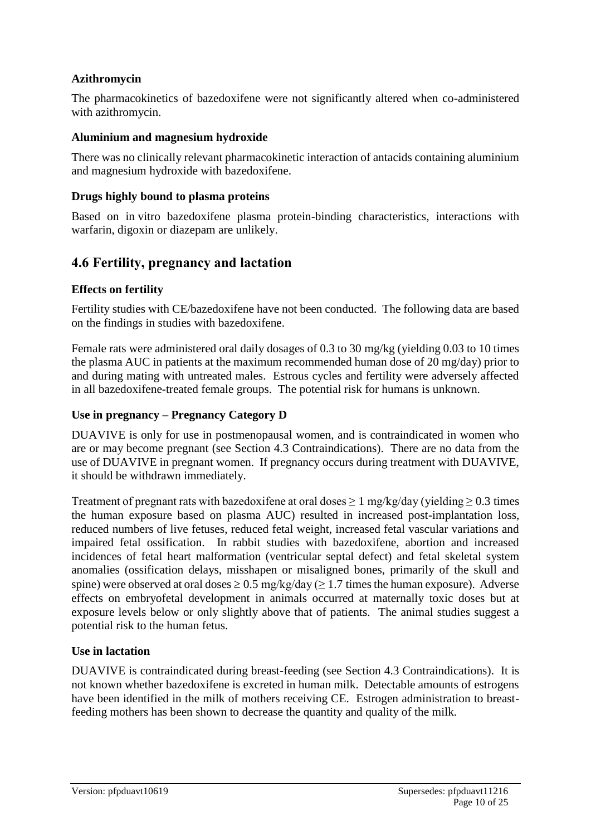#### **Azithromycin**

The pharmacokinetics of bazedoxifene were not significantly altered when co-administered with azithromycin.

#### **Aluminium and magnesium hydroxide**

There was no clinically relevant pharmacokinetic interaction of antacids containing aluminium and magnesium hydroxide with bazedoxifene.

#### **Drugs highly bound to plasma proteins**

Based on in vitro bazedoxifene plasma protein-binding characteristics, interactions with warfarin, digoxin or diazepam are unlikely.

### **4.6 Fertility, pregnancy and lactation**

#### **Effects on fertility**

Fertility studies with CE/bazedoxifene have not been conducted. The following data are based on the findings in studies with bazedoxifene.

Female rats were administered oral daily dosages of 0.3 to 30 mg/kg (yielding 0.03 to 10 times the plasma AUC in patients at the maximum recommended human dose of 20 mg/day) prior to and during mating with untreated males. Estrous cycles and fertility were adversely affected in all bazedoxifene-treated female groups. The potential risk for humans is unknown.

#### **Use in pregnancy – Pregnancy Category D**

DUAVIVE is only for use in postmenopausal women, and is contraindicated in women who are or may become pregnant (see Section 4.3 Contraindications). There are no data from the use of DUAVIVE in pregnant women. If pregnancy occurs during treatment with DUAVIVE, it should be withdrawn immediately.

Treatment of pregnant rats with bazedoxifene at oral doses  $\geq 1$  mg/kg/day (yielding  $\geq 0.3$  times the human exposure based on plasma AUC) resulted in increased post-implantation loss, reduced numbers of live fetuses, reduced fetal weight, increased fetal vascular variations and impaired fetal ossification. In rabbit studies with bazedoxifene, abortion and increased incidences of fetal heart malformation (ventricular septal defect) and fetal skeletal system anomalies (ossification delays, misshapen or misaligned bones, primarily of the skull and spine) were observed at oral doses  $\geq 0.5$  mg/kg/day ( $\geq 1.7$  times the human exposure). Adverse effects on embryofetal development in animals occurred at maternally toxic doses but at exposure levels below or only slightly above that of patients. The animal studies suggest a potential risk to the human fetus.

#### **Use in lactation**

DUAVIVE is contraindicated during breast-feeding (see Section 4.3 Contraindications). It is not known whether bazedoxifene is excreted in human milk. Detectable amounts of estrogens have been identified in the milk of mothers receiving CE. Estrogen administration to breastfeeding mothers has been shown to decrease the quantity and quality of the milk.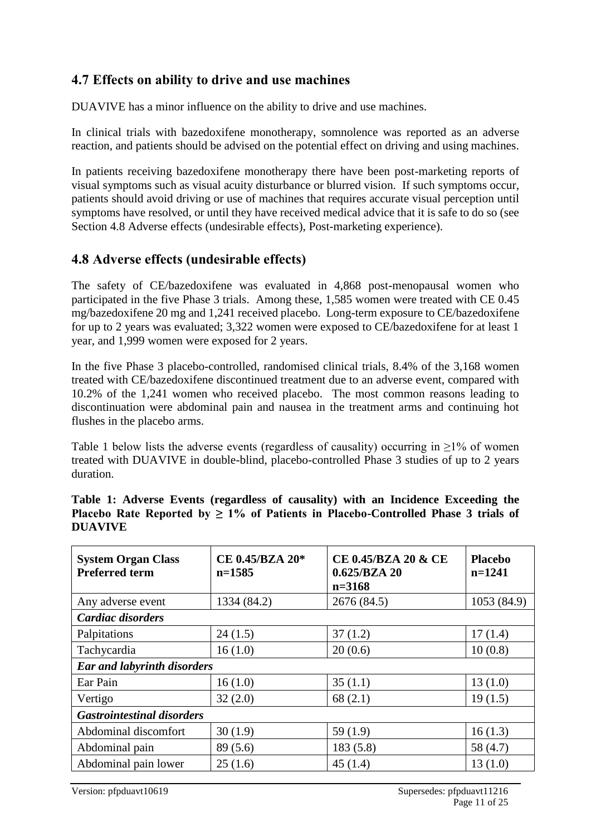### **4.7 Effects on ability to drive and use machines**

DUAVIVE has a minor influence on the ability to drive and use machines.

In clinical trials with bazedoxifene monotherapy, somnolence was reported as an adverse reaction, and patients should be advised on the potential effect on driving and using machines.

In patients receiving bazedoxifene monotherapy there have been post-marketing reports of visual symptoms such as visual acuity disturbance or blurred vision. If such symptoms occur, patients should avoid driving or use of machines that requires accurate visual perception until symptoms have resolved, or until they have received medical advice that it is safe to do so (see Section 4.8 Adverse effects (undesirable effects), Post-marketing experience).

### **4.8 Adverse effects (undesirable effects)**

The safety of CE/bazedoxifene was evaluated in 4,868 post-menopausal women who participated in the five Phase 3 trials. Among these, 1,585 women were treated with CE 0.45 mg/bazedoxifene 20 mg and 1,241 received placebo. Long-term exposure to CE/bazedoxifene for up to 2 years was evaluated; 3,322 women were exposed to CE/bazedoxifene for at least 1 year, and 1,999 women were exposed for 2 years.

In the five Phase 3 placebo-controlled, randomised clinical trials, 8.4% of the 3,168 women treated with CE/bazedoxifene discontinued treatment due to an adverse event, compared with 10.2% of the 1,241 women who received placebo. The most common reasons leading to discontinuation were abdominal pain and nausea in the treatment arms and continuing hot flushes in the placebo arms.

Table 1 below lists the adverse events (regardless of causality) occurring in  $\geq$ 1% of women treated with DUAVIVE in double-blind, placebo-controlled Phase 3 studies of up to 2 years duration.

| <b>System Organ Class</b><br><b>Preferred term</b> | CE 0.45/BZA 20*<br>$n=1585$ | CE 0.45/BZA 20 & CE<br>0.625/BZA 20<br>$n=3168$ | <b>Placebo</b><br>$n=1241$ |
|----------------------------------------------------|-----------------------------|-------------------------------------------------|----------------------------|
| Any adverse event                                  | 1334 (84.2)                 | 2676 (84.5)                                     | 1053 (84.9)                |
| Cardiac disorders                                  |                             |                                                 |                            |
| Palpitations                                       | 24(1.5)                     | 37(1.2)                                         | 17(1.4)                    |
| Tachycardia                                        | 16(1.0)                     | 20(0.6)                                         | 10(0.8)                    |
| <b>Ear and labyrinth disorders</b>                 |                             |                                                 |                            |
| Ear Pain                                           | 16(1.0)                     | 35(1.1)                                         | 13(1.0)                    |
| Vertigo                                            | 32(2.0)                     | 68(2.1)                                         | 19(1.5)                    |
| <b>Gastrointestinal disorders</b>                  |                             |                                                 |                            |
| Abdominal discomfort                               | 30(1.9)                     | 59 $(1.9)$                                      | 16(1.3)                    |
| Abdominal pain                                     | 89 (5.6)                    | 183(5.8)                                        | 58 (4.7)                   |
| Abdominal pain lower                               | 25(1.6)                     | 45(1.4)                                         | 13(1.0)                    |

**Table 1: Adverse Events (regardless of causality) with an Incidence Exceeding the Placebo Rate Reported by**  $\geq 1\%$  **of Patients in Placebo-Controlled Phase 3 trials of DUAVIVE**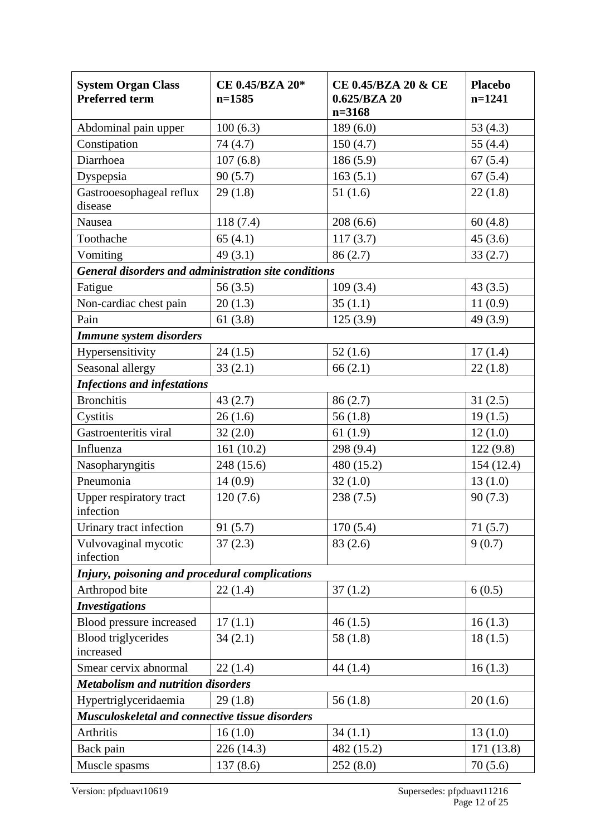| <b>System Organ Class</b><br><b>Preferred term</b>          | CE 0.45/BZA 20*<br>$n=1585$ | CE 0.45/BZA 20 & CE<br>0.625/BZA 20<br>$n = 3168$ | <b>Placebo</b><br>$n=1241$ |
|-------------------------------------------------------------|-----------------------------|---------------------------------------------------|----------------------------|
| Abdominal pain upper                                        | 100(6.3)                    | 189(6.0)                                          | 53 $(4.3)$                 |
| Constipation                                                | 74(4.7)                     | 150(4.7)                                          | 55 $(4.4)$                 |
| Diarrhoea                                                   | 107(6.8)                    | 186(5.9)                                          | 67(5.4)                    |
| Dyspepsia                                                   | 90(5.7)                     | 163(5.1)                                          | 67(5.4)                    |
| Gastrooesophageal reflux<br>disease                         | 29(1.8)                     | 51(1.6)                                           | 22(1.8)                    |
| Nausea                                                      | 118(7.4)                    | 208(6.6)                                          | 60(4.8)                    |
| Toothache                                                   | 65(4.1)                     | 117(3.7)                                          | 45(3.6)                    |
| Vomiting                                                    | 49(3.1)                     | 86(2.7)                                           | 33(2.7)                    |
| <b>General disorders and administration site conditions</b> |                             |                                                   |                            |
| Fatigue                                                     | 56(3.5)                     | 109(3.4)                                          | 43(3.5)                    |
| Non-cardiac chest pain                                      | 20(1.3)                     | 35(1.1)                                           | 11(0.9)                    |
| Pain                                                        | 61(3.8)                     | 125(3.9)                                          | 49 (3.9)                   |
| <b>Immune system disorders</b>                              |                             |                                                   |                            |
| Hypersensitivity                                            | 24(1.5)                     | 52(1.6)                                           | 17(1.4)                    |
| Seasonal allergy                                            | 33(2.1)                     | 66(2.1)                                           | 22(1.8)                    |
| <b>Infections and infestations</b>                          |                             |                                                   |                            |
| <b>Bronchitis</b>                                           | 43(2.7)                     | 86(2.7)                                           | 31(2.5)                    |
| Cystitis                                                    | 26(1.6)                     | 56(1.8)                                           | 19(1.5)                    |
| Gastroenteritis viral                                       | 32(2.0)                     | 61(1.9)                                           | 12(1.0)                    |
| Influenza                                                   | 161(10.2)                   | 298 (9.4)                                         | 122(9.8)                   |
| Nasopharyngitis                                             | 248 (15.6)                  | 480 (15.2)                                        | 154(12.4)                  |
| Pneumonia                                                   | 14(0.9)                     | 32(1.0)                                           | 13(1.0)                    |
| Upper respiratory tract<br>infection                        | 120(7.6)                    | 238(7.5)                                          | 90(7.3)                    |
| Urinary tract infection                                     | 91(5.7)                     | 170(5.4)                                          | 71(5.7)                    |
| Vulvovaginal mycotic<br>infection                           | 37(2.3)                     | 83(2.6)                                           | 9(0.7)                     |
| Injury, poisoning and procedural complications              |                             |                                                   |                            |
| Arthropod bite                                              | 22(1.4)                     | 37(1.2)                                           | 6(0.5)                     |
| <b>Investigations</b>                                       |                             |                                                   |                            |
| Blood pressure increased                                    | 17(1.1)                     | 46(1.5)                                           | 16(1.3)                    |
| <b>Blood</b> triglycerides<br>increased                     | 34(2.1)                     | 58(1.8)                                           | 18(1.5)                    |
| Smear cervix abnormal                                       | 22(1.4)                     | 44(1.4)                                           | 16(1.3)                    |
| <b>Metabolism and nutrition disorders</b>                   |                             |                                                   |                            |
| Hypertriglyceridaemia                                       | 29(1.8)                     | 56(1.8)                                           | 20(1.6)                    |
| Musculoskeletal and connective tissue disorders             |                             |                                                   |                            |
| Arthritis                                                   | 16(1.0)                     | 34(1.1)                                           | 13(1.0)                    |
| Back pain                                                   | 226 (14.3)                  | 482 (15.2)                                        | 171 (13.8)                 |
| Muscle spasms                                               | 137(8.6)                    | 252(8.0)                                          | 70(5.6)                    |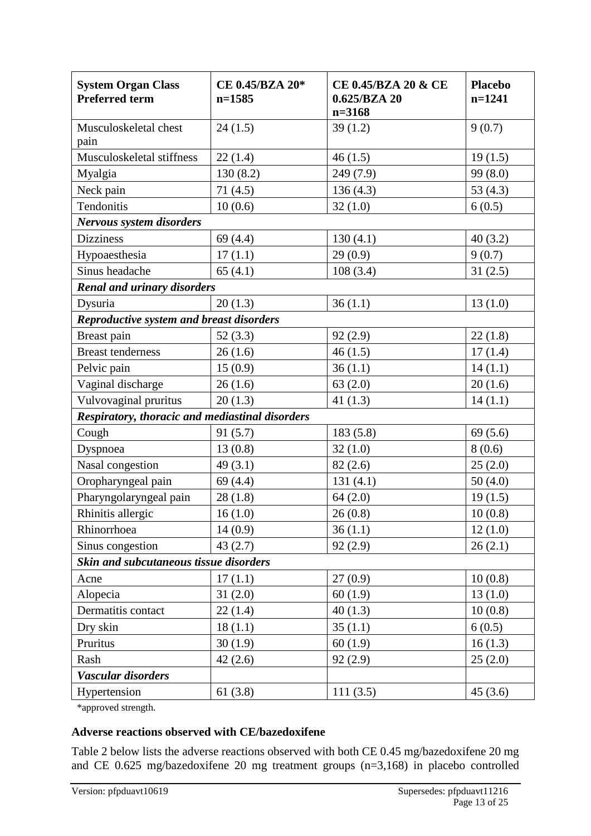| <b>System Organ Class</b><br><b>Preferred term</b> | CE 0.45/BZA 20*<br>$n=1585$ | CE 0.45/BZA 20 & CE<br>0.625/BZA 20<br>$n = 3168$ | <b>Placebo</b><br>$n=1241$ |
|----------------------------------------------------|-----------------------------|---------------------------------------------------|----------------------------|
| Musculoskeletal chest<br>pain                      | 24(1.5)                     | 39(1.2)                                           | 9(0.7)                     |
| Musculoskeletal stiffness                          | 22(1.4)                     | 46(1.5)                                           | 19(1.5)                    |
| Myalgia                                            | 130(8.2)                    | 249 (7.9)                                         | 99 (8.0)                   |
| Neck pain                                          | 71(4.5)                     | 136(4.3)                                          | 53(4.3)                    |
| Tendonitis                                         | 10(0.6)                     | 32(1.0)                                           | 6(0.5)                     |
| <b>Nervous system disorders</b>                    |                             |                                                   |                            |
| <b>Dizziness</b>                                   | 69(4.4)                     | 130(4.1)                                          | 40(3.2)                    |
| Hypoaesthesia                                      | 17(1.1)                     | 29(0.9)                                           | 9(0.7)                     |
| Sinus headache                                     | 65(4.1)                     | 108(3.4)                                          | 31(2.5)                    |
| <b>Renal and urinary disorders</b>                 |                             |                                                   |                            |
| Dysuria                                            | 20(1.3)                     | 36(1.1)                                           | 13(1.0)                    |
| <b>Reproductive system and breast disorders</b>    |                             |                                                   |                            |
| Breast pain                                        | 52(3.3)                     | 92(2.9)                                           | 22(1.8)                    |
| <b>Breast tenderness</b>                           | 26(1.6)                     | 46(1.5)                                           | 17(1.4)                    |
| Pelvic pain                                        | 15(0.9)                     | 36(1.1)                                           | 14(1.1)                    |
| Vaginal discharge                                  | 26(1.6)                     | 63(2.0)                                           | 20(1.6)                    |
| Vulvovaginal pruritus                              | 20(1.3)                     | 41 $(1.3)$                                        | 14(1.1)                    |
| Respiratory, thoracic and mediastinal disorders    |                             |                                                   |                            |
| Cough                                              | 91(5.7)                     | 183(5.8)                                          | 69(5.6)                    |
| Dyspnoea                                           | 13(0.8)                     | 32(1.0)                                           | 8(0.6)                     |
| Nasal congestion                                   | 49(3.1)                     | 82(2.6)                                           | 25(2.0)                    |
| Oropharyngeal pain                                 | 69(4.4)                     | 131(4.1)                                          | 50(4.0)                    |
| Pharyngolaryngeal pain                             | 28(1.8)                     | 64(2.0)                                           | 19(1.5)                    |
| Rhinitis allergic                                  | 16(1.0)                     | 26(0.8)                                           | 10(0.8)                    |
| Rhinorrhoea                                        | 14(0.9)                     | 36(1.1)                                           | 12(1.0)                    |
| Sinus congestion                                   | 43(2.7)                     | 92(2.9)                                           | 26(2.1)                    |
| Skin and subcutaneous tissue disorders             |                             |                                                   |                            |
| Acne                                               | 17(1.1)                     | 27(0.9)                                           | 10(0.8)                    |
| Alopecia                                           | 31(2.0)                     | 60(1.9)                                           | 13(1.0)                    |
| Dermatitis contact                                 | 22(1.4)                     | 40(1.3)                                           | 10(0.8)                    |
| Dry skin                                           | 18(1.1)                     | 35(1.1)                                           | 6(0.5)                     |
| Pruritus                                           | 30(1.9)                     | 60(1.9)                                           | 16(1.3)                    |
| Rash                                               | 42(2.6)                     | 92(2.9)                                           | 25(2.0)                    |
| Vascular disorders                                 |                             |                                                   |                            |
| Hypertension                                       | 61(3.8)                     | 111(3.5)                                          | 45(3.6)                    |

\*approved strength.

#### **Adverse reactions observed with CE/bazedoxifene**

Table 2 below lists the adverse reactions observed with both CE 0.45 mg/bazedoxifene 20 mg and CE 0.625 mg/bazedoxifene 20 mg treatment groups (n=3,168) in placebo controlled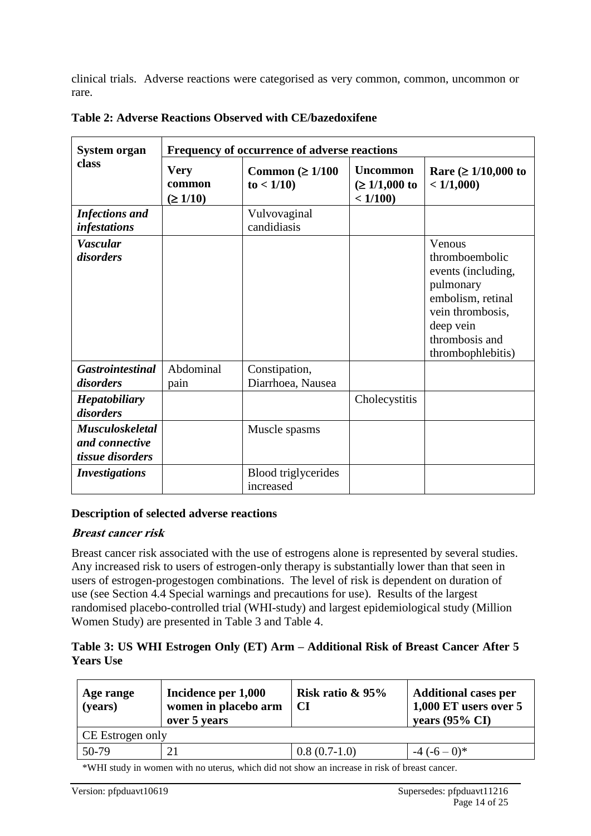clinical trials. Adverse reactions were categorised as very common, common, uncommon or rare.

| <b>System organ</b>                                          | Frequency of occurrence of adverse reactions |                                         |                                                   |                                                                                                                                                          |  |
|--------------------------------------------------------------|----------------------------------------------|-----------------------------------------|---------------------------------------------------|----------------------------------------------------------------------------------------------------------------------------------------------------------|--|
| class                                                        | <b>Very</b><br>common<br>$(\geq 1/10)$       | Common ( $\geq 1/100$<br>to < 1/10      | <b>Uncommon</b><br>$(\geq 1/1,000)$ to<br>< 1/100 | Rare ( $\geq 1/10,000$ to<br>< 1/1,000                                                                                                                   |  |
| <b>Infections and</b><br><i>infestations</i>                 |                                              | Vulvovaginal<br>candidiasis             |                                                   |                                                                                                                                                          |  |
| <b>Vascular</b><br>disorders                                 |                                              |                                         |                                                   | Venous<br>thromboembolic<br>events (including,<br>pulmonary<br>embolism, retinal<br>vein thrombosis,<br>deep vein<br>thrombosis and<br>thrombophlebitis) |  |
| <b>Gastrointestinal</b><br>disorders                         | Abdominal<br>pain                            | Constipation,<br>Diarrhoea, Nausea      |                                                   |                                                                                                                                                          |  |
| <b>Hepatobiliary</b><br>disorders                            |                                              |                                         | Cholecystitis                                     |                                                                                                                                                          |  |
| <b>Musculoskeletal</b><br>and connective<br>tissue disorders |                                              | Muscle spasms                           |                                                   |                                                                                                                                                          |  |
| <b>Investigations</b>                                        |                                              | <b>Blood</b> triglycerides<br>increased |                                                   |                                                                                                                                                          |  |

**Table 2: Adverse Reactions Observed with CE/bazedoxifene**

#### **Description of selected adverse reactions**

#### **Breast cancer risk**

Breast cancer risk associated with the use of estrogens alone is represented by several studies. Any increased risk to users of estrogen-only therapy is substantially lower than that seen in users of estrogen-progestogen combinations. The level of risk is dependent on duration of use (see Section 4.4 Special warnings and precautions for use). Results of the largest randomised placebo-controlled trial (WHI-study) and largest epidemiological study (Million Women Study) are presented in Table 3 and Table 4.

#### **Table 3: US WHI Estrogen Only (ET) Arm – Additional Risk of Breast Cancer After 5 Years Use**

| Age range<br>(years) | Incidence per 1,000<br>women in placebo arm<br>over 5 years | Risk ratio $\&$ 95%<br><b>CI</b> | <b>Additional cases per</b><br>$1,000$ ET users over 5<br>years $(95\% \text{ CI})$ |
|----------------------|-------------------------------------------------------------|----------------------------------|-------------------------------------------------------------------------------------|
| CE Estrogen only     |                                                             |                                  |                                                                                     |
| 50-79                | 21                                                          | $0.8(0.7-1.0)$                   | $-4(-6-0)*$                                                                         |

\*WHI study in women with no uterus, which did not show an increase in risk of breast cancer.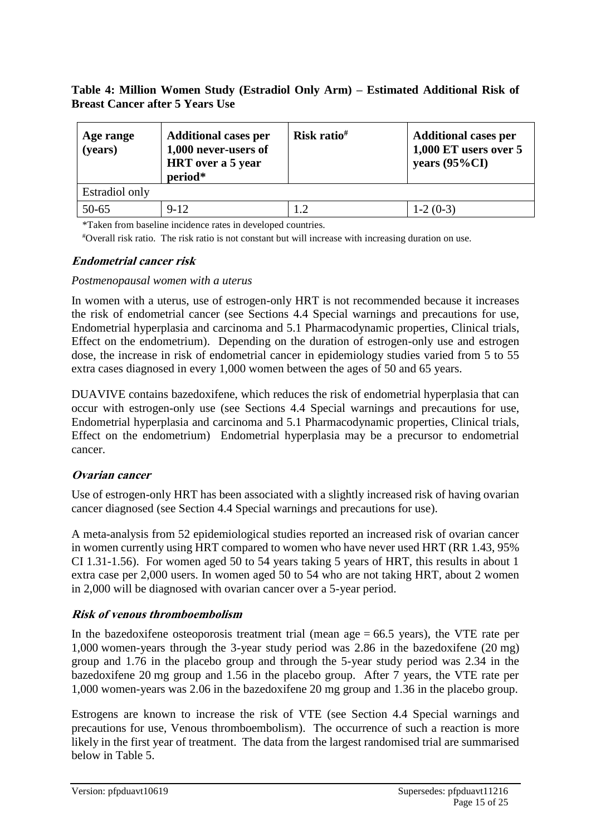#### **Table 4: Million Women Study (Estradiol Only Arm) – Estimated Additional Risk of Breast Cancer after 5 Years Use**

| Age range<br>(years) | <b>Additional cases per</b><br>1,000 never-users of<br><b>HRT</b> over a 5 year<br>period* | Risk ratio <sup>#</sup> | <b>Additional cases per</b><br>1,000 ET users over 5<br>years $(95\%CI)$ |
|----------------------|--------------------------------------------------------------------------------------------|-------------------------|--------------------------------------------------------------------------|
| Estradiol only       |                                                                                            |                         |                                                                          |
| $50 - 65$            | $9 - 12$                                                                                   |                         | $1-2(0-3)$                                                               |

\*Taken from baseline incidence rates in developed countries.

#Overall risk ratio. The risk ratio is not constant but will increase with increasing duration on use.

#### **Endometrial cancer risk**

#### *Postmenopausal women with a uterus*

In women with a uterus, use of estrogen-only HRT is not recommended because it increases the risk of endometrial cancer (see Sections 4.4 Special warnings and precautions for use, Endometrial hyperplasia and carcinoma and 5.1 Pharmacodynamic properties, Clinical trials, Effect on the endometrium). Depending on the duration of estrogen-only use and estrogen dose, the increase in risk of endometrial cancer in epidemiology studies varied from 5 to 55 extra cases diagnosed in every 1,000 women between the ages of 50 and 65 years.

DUAVIVE contains bazedoxifene, which reduces the risk of endometrial hyperplasia that can occur with estrogen-only use (see Sections 4.4 Special warnings and precautions for use, Endometrial hyperplasia and carcinoma and 5.1 Pharmacodynamic properties, Clinical trials, Effect on the endometrium) Endometrial hyperplasia may be a precursor to endometrial cancer.

#### **Ovarian cancer**

Use of estrogen-only HRT has been associated with a slightly increased risk of having ovarian cancer diagnosed (see Section 4.4 Special warnings and precautions for use).

A meta-analysis from 52 epidemiological studies reported an increased risk of ovarian cancer in women currently using HRT compared to women who have never used HRT (RR 1.43, 95% CI 1.31-1.56). For women aged 50 to 54 years taking 5 years of HRT, this results in about 1 extra case per 2,000 users. In women aged 50 to 54 who are not taking HRT, about 2 women in 2,000 will be diagnosed with ovarian cancer over a 5-year period.

#### **Risk of venous thromboembolism**

In the bazedoxifene osteoporosis treatment trial (mean age  $= 66.5$  years), the VTE rate per 1,000 women-years through the 3-year study period was 2.86 in the bazedoxifene (20 mg) group and 1.76 in the placebo group and through the 5-year study period was 2.34 in the bazedoxifene 20 mg group and 1.56 in the placebo group. After 7 years, the VTE rate per 1,000 women-years was 2.06 in the bazedoxifene 20 mg group and 1.36 in the placebo group.

Estrogens are known to increase the risk of VTE (see Section 4.4 Special warnings and precautions for use, Venous thromboembolism). The occurrence of such a reaction is more likely in the first year of treatment. The data from the largest randomised trial are summarised below in Table 5.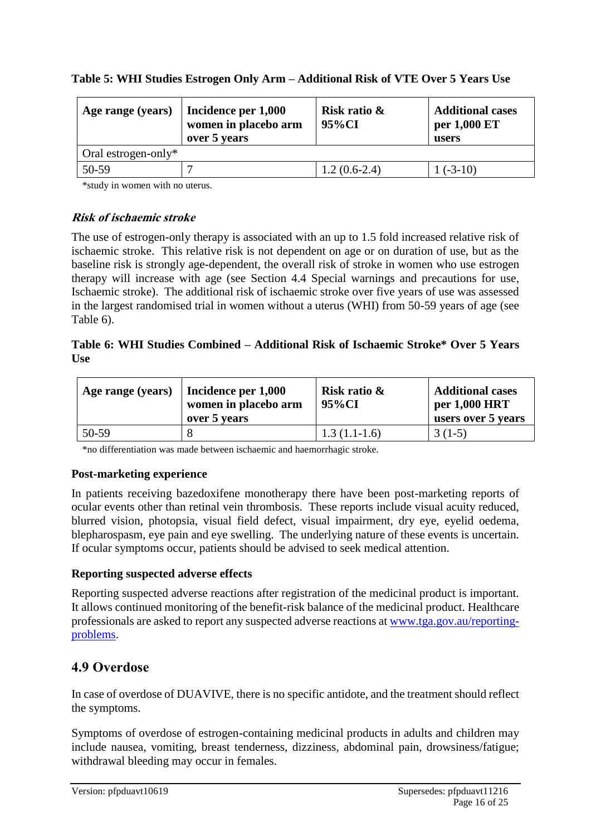| Age range (years)      | Incidence per 1,000<br>women in placebo arm<br>over 5 years | Risk ratio &<br>95%CI | <b>Additional cases</b><br>per 1,000 ET<br>users |
|------------------------|-------------------------------------------------------------|-----------------------|--------------------------------------------------|
| Oral estrogen-only $*$ |                                                             |                       |                                                  |
| 50-59                  |                                                             | $1.2(0.6-2.4)$        | $1(-3-10)$                                       |

\*study in women with no uterus.

#### **Risk of ischaemic stroke**

The use of estrogen-only therapy is associated with an up to 1.5 fold increased relative risk of ischaemic stroke. This relative risk is not dependent on age or on duration of use, but as the baseline risk is strongly age-dependent, the overall risk of stroke in women who use estrogen therapy will increase with age (see Section 4.4 Special warnings and precautions for use, Ischaemic stroke). The additional risk of ischaemic stroke over five years of use was assessed in the largest randomised trial in women without a uterus (WHI) from 50-59 years of age (see Table 6).

#### **Table 6: WHI Studies Combined – Additional Risk of Ischaemic Stroke\* Over 5 Years Use**

| Age range (years) | Incidence per 1,000<br>women in placebo arm<br>over 5 years | Risk ratio &<br>95%CI | <b>Additional cases</b><br>per 1,000 HRT<br>users over 5 years |
|-------------------|-------------------------------------------------------------|-----------------------|----------------------------------------------------------------|
| 50-59             |                                                             | $1.3(1.1-1.6)$        | $3(1-5)$                                                       |

\*no differentiation was made between ischaemic and haemorrhagic stroke.

#### **Post-marketing experience**

In patients receiving bazedoxifene monotherapy there have been post-marketing reports of ocular events other than retinal vein thrombosis. These reports include visual acuity reduced, blurred vision, photopsia, visual field defect, visual impairment, dry eye, eyelid oedema, blepharospasm, eye pain and eye swelling. The underlying nature of these events is uncertain. If ocular symptoms occur, patients should be advised to seek medical attention.

#### **Reporting suspected adverse effects**

Reporting suspected adverse reactions after registration of the medicinal product is important. It allows continued monitoring of the benefit-risk balance of the medicinal product. Healthcare professionals are asked to report any suspected adverse reactions at [www.tga.gov.au/reporting](http://www.tga.gov.au/reporting-problems)[problems.](http://www.tga.gov.au/reporting-problems)

### **4.9 Overdose**

In case of overdose of DUAVIVE, there is no specific antidote, and the treatment should reflect the symptoms.

Symptoms of overdose of estrogen-containing medicinal products in adults and children may include nausea, vomiting, breast tenderness, dizziness, abdominal pain, drowsiness/fatigue; withdrawal bleeding may occur in females.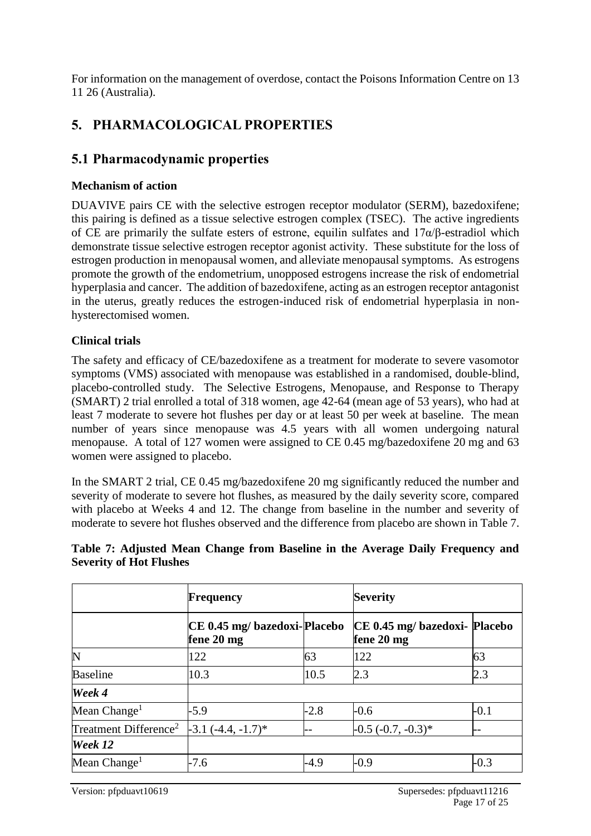For information on the management of overdose, contact the Poisons Information Centre on 13 11 26 (Australia).

### **5. PHARMACOLOGICAL PROPERTIES**

### **5.1 Pharmacodynamic properties**

#### **Mechanism of action**

DUAVIVE pairs CE with the selective estrogen receptor modulator (SERM), bazedoxifene; this pairing is defined as a tissue selective estrogen complex (TSEC). The active ingredients of CE are primarily the sulfate esters of estrone, equilin sulfates and  $17\alpha/\beta$ -estradiol which demonstrate tissue selective estrogen receptor agonist activity. These substitute for the loss of estrogen production in menopausal women, and alleviate menopausal symptoms. As estrogens promote the growth of the endometrium, unopposed estrogens increase the risk of endometrial hyperplasia and cancer. The addition of bazedoxifene, acting as an estrogen receptor antagonist in the uterus, greatly reduces the estrogen-induced risk of endometrial hyperplasia in nonhysterectomised women.

#### **Clinical trials**

The safety and efficacy of CE/bazedoxifene as a treatment for moderate to severe vasomotor symptoms (VMS) associated with menopause was established in a randomised, double-blind, placebo-controlled study. The Selective Estrogens, Menopause, and Response to Therapy (SMART) 2 trial enrolled a total of 318 women, age 42-64 (mean age of 53 years), who had at least 7 moderate to severe hot flushes per day or at least 50 per week at baseline. The mean number of years since menopause was 4.5 years with all women undergoing natural menopause. A total of 127 women were assigned to CE 0.45 mg/bazedoxifene 20 mg and 63 women were assigned to placebo.

In the SMART 2 trial, CE 0.45 mg/bazedoxifene 20 mg significantly reduced the number and severity of moderate to severe hot flushes, as measured by the daily severity score, compared with placebo at Weeks 4 and 12. The change from baseline in the number and severity of moderate to severe hot flushes observed and the difference from placebo are shown in Table 7.

#### **Table 7: Adjusted Mean Change from Baseline in the Average Daily Frequency and Severity of Hot Flushes**

|                                   | <b>Frequency</b>                           |        | <b>Severity</b>                             |        |
|-----------------------------------|--------------------------------------------|--------|---------------------------------------------|--------|
|                                   | CE 0.45 mg/ bazedoxi-Placebo<br>fene 20 mg |        | CE 0.45 mg/ bazedoxi- Placebo<br>fene 20 mg |        |
| N                                 | 122                                        | 63     | 122                                         | 63     |
| <b>Baseline</b>                   | 10.3                                       | 10.5   | 2.3                                         | 2.3    |
| Week 4                            |                                            |        |                                             |        |
| Mean $Change1$                    | $-5.9$                                     | $-2.8$ | $-0.6$                                      | $-0.1$ |
| Treatment Difference <sup>2</sup> | $-3.1(-4.4, -1.7)^*$                       |        | $-0.5$ $(-0.7, -0.3)$ *                     | --     |
| Week 12                           |                                            |        |                                             |        |
| Mean Change <sup>1</sup>          | $-7.6$                                     | $-4.9$ | $-0.9$                                      | $-0.3$ |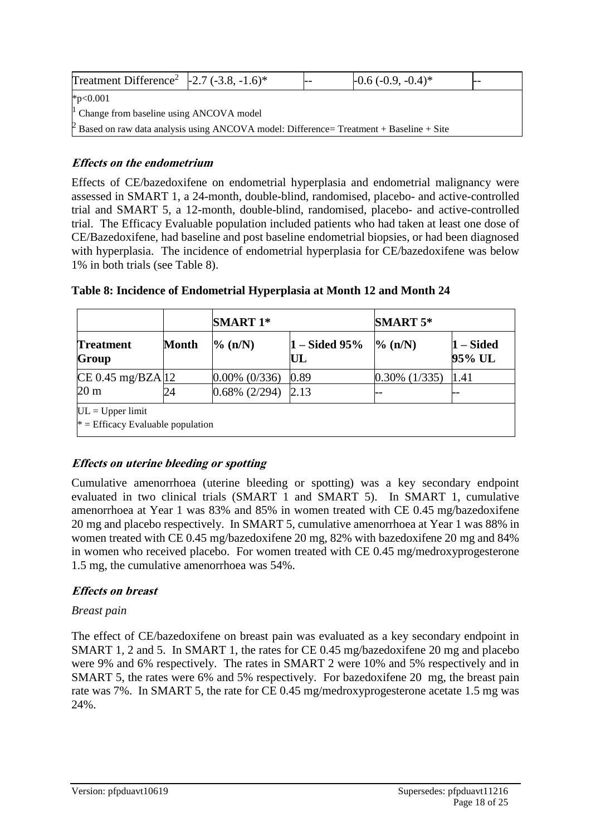| Treatment Difference <sup>2</sup> $\vert$ -2.7 (-3.8, -1.6) <sup>*</sup>                                    |  | $-0.6(-0.9,-0.4)$ * |  |
|-------------------------------------------------------------------------------------------------------------|--|---------------------|--|
| $*p<0.001$                                                                                                  |  |                     |  |
| $\vert$ Change from baseline using ANCOVA model                                                             |  |                     |  |
| $\vert$ <sup>2</sup> Based on raw data analysis using ANCOVA model: Difference= Treatment + Baseline + Site |  |                     |  |

#### **Effects on the endometrium**

Effects of CE/bazedoxifene on endometrial hyperplasia and endometrial malignancy were assessed in SMART 1, a 24-month, double-blind, randomised, placebo- and active-controlled trial and SMART 5, a 12-month, double-blind, randomised, placebo- and active-controlled trial. The Efficacy Evaluable population included patients who had taken at least one dose of CE/Bazedoxifene, had baseline and post baseline endometrial biopsies, or had been diagnosed with hyperplasia. The incidence of endometrial hyperplasia for CE/bazedoxifene was below 1% in both trials (see Table 8).

|                                                           |              | <b>SMART 1*</b>  |                        |                  | <b>SMART 5*</b>     |  |
|-----------------------------------------------------------|--------------|------------------|------------------------|------------------|---------------------|--|
| <b>Treatment</b><br>Group                                 | <b>Month</b> | $\%$ (n/N)       | $1 - Sided 95\%$<br>UL | $\%$ (n/N)       | 1 – Sided<br>95% UL |  |
| CE 0.45 mg/BZA 12                                         |              | $0.00\%$ (0/336) | 0.89                   | $0.30\%$ (1/335) | 1.41                |  |
| $20 \text{ m}$                                            | 24           | $0.68\%$ (2/294) | 2.13                   |                  |                     |  |
| $UL = Upper limit$<br>$*$ = Efficacy Evaluable population |              |                  |                        |                  |                     |  |

#### **Table 8: Incidence of Endometrial Hyperplasia at Month 12 and Month 24**

### **Effects on uterine bleeding or spotting**

Cumulative amenorrhoea (uterine bleeding or spotting) was a key secondary endpoint evaluated in two clinical trials (SMART 1 and SMART 5). In SMART 1, cumulative amenorrhoea at Year 1 was 83% and 85% in women treated with CE 0.45 mg/bazedoxifene 20 mg and placebo respectively. In SMART 5, cumulative amenorrhoea at Year 1 was 88% in women treated with CE 0.45 mg/bazedoxifene 20 mg, 82% with bazedoxifene 20 mg and 84% in women who received placebo. For women treated with CE 0.45 mg/medroxyprogesterone 1.5 mg, the cumulative amenorrhoea was 54%.

### **Effects on breast**

#### *Breast pain*

The effect of CE/bazedoxifene on breast pain was evaluated as a key secondary endpoint in SMART 1, 2 and 5. In SMART 1, the rates for CE 0.45 mg/bazedoxifene 20 mg and placebo were 9% and 6% respectively. The rates in SMART 2 were 10% and 5% respectively and in SMART 5, the rates were 6% and 5% respectively. For bazedoxifene 20 mg, the breast pain rate was 7%. In SMART 5, the rate for CE 0.45 mg/medroxyprogesterone acetate 1.5 mg was 24%.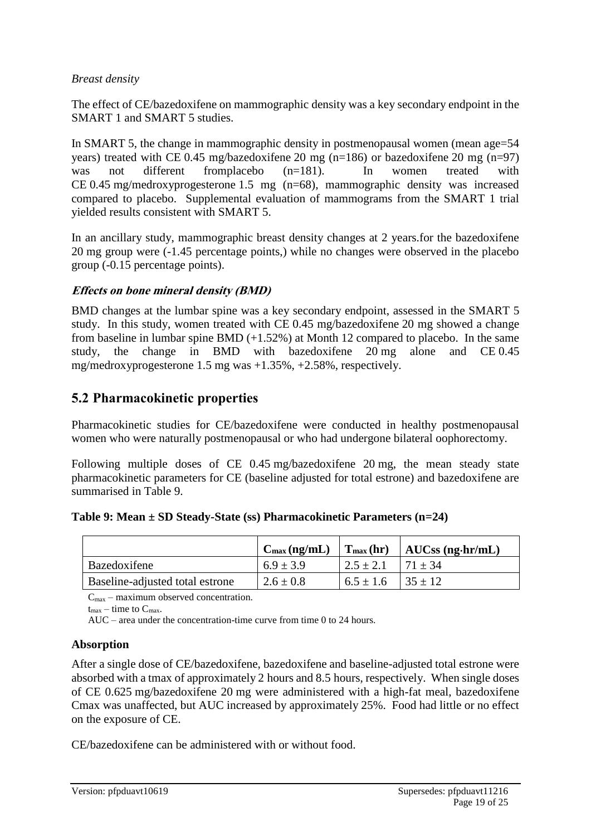#### *Breast density*

The effect of CE/bazedoxifene on mammographic density was a key secondary endpoint in the SMART 1 and SMART 5 studies.

In SMART 5, the change in mammographic density in postmenopausal women (mean age=54 years) treated with CE 0.45 mg/bazedoxifene 20 mg (n=186) or bazedoxifene 20 mg (n=97) was not different fromplacebo (n=181). In women treated with CE 0.45 mg/medroxyprogesterone 1.5 mg (n=68), mammographic density was increased compared to placebo. Supplemental evaluation of mammograms from the SMART 1 trial yielded results consistent with SMART 5.

In an ancillary study, mammographic breast density changes at 2 years.for the bazedoxifene 20 mg group were (-1.45 percentage points,) while no changes were observed in the placebo group (-0.15 percentage points).

#### **Effects on bone mineral density (BMD)**

BMD changes at the lumbar spine was a key secondary endpoint, assessed in the SMART 5 study. In this study, women treated with CE 0.45 mg/bazedoxifene 20 mg showed a change from baseline in lumbar spine BMD  $(+1.52%)$  at Month 12 compared to placebo. In the same study, the change in BMD with bazedoxifene 20 mg alone and CE 0.45 mg/medroxyprogesterone 1.5 mg was +1.35%, +2.58%, respectively.

### **5.2 Pharmacokinetic properties**

Pharmacokinetic studies for CE/bazedoxifene were conducted in healthy postmenopausal women who were naturally postmenopausal or who had undergone bilateral oophorectomy.

Following multiple doses of CE 0.45 mg/bazedoxifene 20 mg, the mean steady state pharmacokinetic parameters for CE (baseline adjusted for total estrone) and bazedoxifene are summarised in Table 9.

|  |  |  | Table 9: Mean $\pm$ SD Steady-State (ss) Pharmacokinetic Parameters (n=24) |  |  |
|--|--|--|----------------------------------------------------------------------------|--|--|
|--|--|--|----------------------------------------------------------------------------|--|--|

|                                 | $C_{\text{max}}$ (ng/mL) |                             | $\vert$ T <sub>max</sub> (hr) $\vert$ AUCss (ng·hr/mL) |
|---------------------------------|--------------------------|-----------------------------|--------------------------------------------------------|
| Bazedoxifene                    | $6.9 \pm 3.9$            | $2.5 \pm 2.1$               | $171 \pm 34$                                           |
| Baseline-adjusted total estrone | $2.6 \pm 0.8$            | $6.5 \pm 1.6$   $35 \pm 12$ |                                                        |

 $C_{\text{max}}$  – maximum observed concentration.

 $t_{\text{max}}$  – time to  $C_{\text{max}}$ .

AUC – area under the concentration-time curve from time 0 to 24 hours.

#### **Absorption**

After a single dose of CE/bazedoxifene, bazedoxifene and baseline-adjusted total estrone were absorbed with a tmax of approximately 2 hours and 8.5 hours, respectively. When single doses of CE 0.625 mg/bazedoxifene 20 mg were administered with a high-fat meal, bazedoxifene Cmax was unaffected, but AUC increased by approximately 25%. Food had little or no effect on the exposure of CE.

CE/bazedoxifene can be administered with or without food.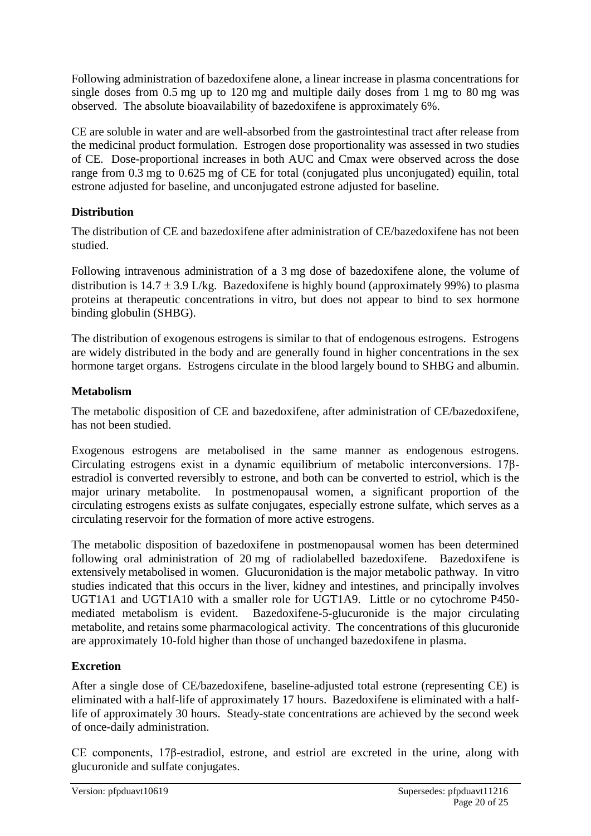Following administration of bazedoxifene alone, a linear increase in plasma concentrations for single doses from 0.5 mg up to 120 mg and multiple daily doses from 1 mg to 80 mg was observed. The absolute bioavailability of bazedoxifene is approximately 6%.

CE are soluble in water and are well-absorbed from the gastrointestinal tract after release from the medicinal product formulation. Estrogen dose proportionality was assessed in two studies of CE. Dose-proportional increases in both AUC and Cmax were observed across the dose range from 0.3 mg to 0.625 mg of CE for total (conjugated plus unconjugated) equilin, total estrone adjusted for baseline, and unconjugated estrone adjusted for baseline.

### **Distribution**

The distribution of CE and bazedoxifene after administration of CE/bazedoxifene has not been studied.

Following intravenous administration of a 3 mg dose of bazedoxifene alone, the volume of distribution is  $14.7 \pm 3.9$  L/kg. Bazedoxifene is highly bound (approximately 99%) to plasma proteins at therapeutic concentrations in vitro, but does not appear to bind to sex hormone binding globulin (SHBG).

The distribution of exogenous estrogens is similar to that of endogenous estrogens. Estrogens are widely distributed in the body and are generally found in higher concentrations in the sex hormone target organs. Estrogens circulate in the blood largely bound to SHBG and albumin.

#### **Metabolism**

The metabolic disposition of CE and bazedoxifene, after administration of CE/bazedoxifene, has not been studied.

Exogenous estrogens are metabolised in the same manner as endogenous estrogens. Circulating estrogens exist in a dynamic equilibrium of metabolic interconversions. 17βestradiol is converted reversibly to estrone, and both can be converted to estriol, which is the major urinary metabolite. In postmenopausal women, a significant proportion of the circulating estrogens exists as sulfate conjugates, especially estrone sulfate, which serves as a circulating reservoir for the formation of more active estrogens.

The metabolic disposition of bazedoxifene in postmenopausal women has been determined following oral administration of 20 mg of radiolabelled bazedoxifene. Bazedoxifene is extensively metabolised in women. Glucuronidation is the major metabolic pathway. In vitro studies indicated that this occurs in the liver, kidney and intestines, and principally involves UGT1A1 and UGT1A10 with a smaller role for UGT1A9. Little or no cytochrome P450 mediated metabolism is evident. Bazedoxifene-5-glucuronide is the major circulating metabolite, and retains some pharmacological activity. The concentrations of this glucuronide are approximately 10-fold higher than those of unchanged bazedoxifene in plasma.

### **Excretion**

After a single dose of CE/bazedoxifene, baseline-adjusted total estrone (representing CE) is eliminated with a half-life of approximately 17 hours. Bazedoxifene is eliminated with a halflife of approximately 30 hours. Steady-state concentrations are achieved by the second week of once-daily administration.

CE components, 17β-estradiol, estrone, and estriol are excreted in the urine, along with glucuronide and sulfate conjugates.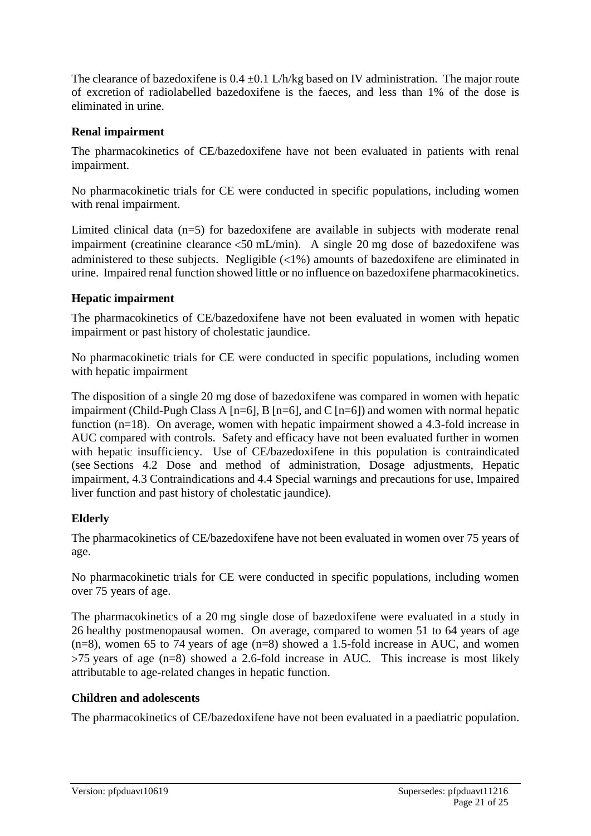The clearance of bazedoxifene is  $0.4 \pm 0.1$  L/h/kg based on IV administration. The major route of excretion of radiolabelled bazedoxifene is the faeces, and less than 1% of the dose is eliminated in urine.

#### **Renal impairment**

The pharmacokinetics of CE/bazedoxifene have not been evaluated in patients with renal impairment.

No pharmacokinetic trials for CE were conducted in specific populations, including women with renal impairment.

Limited clinical data (n=5) for bazedoxifene are available in subjects with moderate renal impairment (creatinine clearance <50 mL/min). A single 20 mg dose of bazedoxifene was administered to these subjects. Negligible  $\langle 1\% \rangle$  amounts of bazedoxifene are eliminated in urine. Impaired renal function showed little or no influence on bazedoxifene pharmacokinetics.

#### **Hepatic impairment**

The pharmacokinetics of CE/bazedoxifene have not been evaluated in women with hepatic impairment or past history of cholestatic jaundice.

No pharmacokinetic trials for CE were conducted in specific populations, including women with hepatic impairment

The disposition of a single 20 mg dose of bazedoxifene was compared in women with hepatic impairment (Child-Pugh Class A [n=6], B [n=6], and C [n=6]) and women with normal hepatic function (n=18). On average, women with hepatic impairment showed a 4.3-fold increase in AUC compared with controls. Safety and efficacy have not been evaluated further in women with hepatic insufficiency. Use of CE/bazedoxifene in this population is contraindicated (see Sections 4.2 Dose and method of administration, Dosage adjustments, Hepatic impairment, 4.3 Contraindications and 4.4 Special warnings and precautions for use, Impaired liver function and past history of cholestatic jaundice).

### **Elderly**

The pharmacokinetics of CE/bazedoxifene have not been evaluated in women over 75 years of age.

No pharmacokinetic trials for CE were conducted in specific populations, including women over 75 years of age.

The pharmacokinetics of a 20 mg single dose of bazedoxifene were evaluated in a study in 26 healthy postmenopausal women. On average, compared to women 51 to 64 years of age (n=8), women 65 to 74 years of age (n=8) showed a 1.5-fold increase in AUC, and women 75 years of age (n=8) showed a 2.6-fold increase in AUC. This increase is most likely attributable to age-related changes in hepatic function.

#### **Children and adolescents**

The pharmacokinetics of CE/bazedoxifene have not been evaluated in a paediatric population.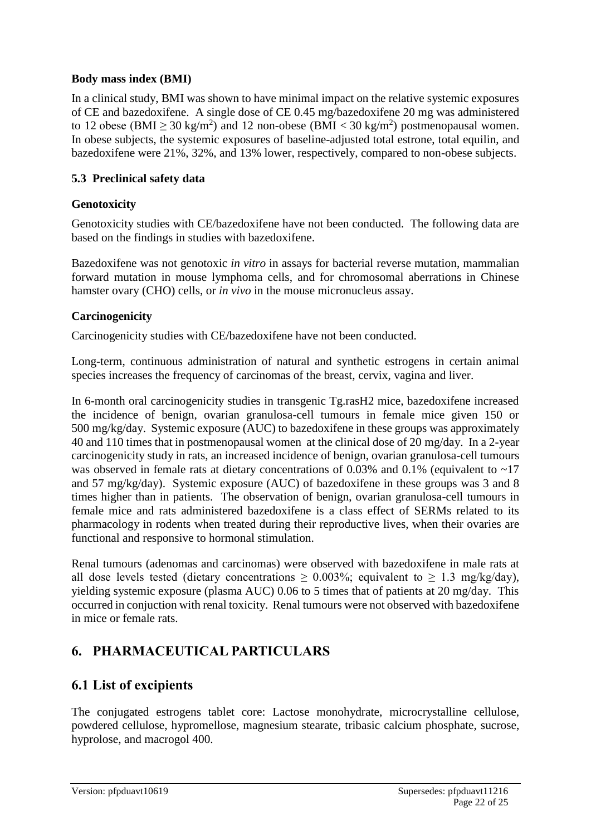#### **Body mass index (BMI)**

In a clinical study, BMI was shown to have minimal impact on the relative systemic exposures of CE and bazedoxifene. A single dose of CE 0.45 mg/bazedoxifene 20 mg was administered to 12 obese (BMI  $\geq$  30 kg/m<sup>2</sup>) and 12 non-obese (BMI < 30 kg/m<sup>2</sup>) postmenopausal women. In obese subjects, the systemic exposures of baseline-adjusted total estrone, total equilin, and bazedoxifene were 21%, 32%, and 13% lower, respectively, compared to non-obese subjects.

#### **5.3 Preclinical safety data**

#### **Genotoxicity**

Genotoxicity studies with CE/bazedoxifene have not been conducted. The following data are based on the findings in studies with bazedoxifene.

Bazedoxifene was not genotoxic *in vitro* in assays for bacterial reverse mutation, mammalian forward mutation in mouse lymphoma cells, and for chromosomal aberrations in Chinese hamster ovary (CHO) cells, or *in vivo* in the mouse micronucleus assay.

#### **Carcinogenicity**

Carcinogenicity studies with CE/bazedoxifene have not been conducted.

Long-term, continuous administration of natural and synthetic estrogens in certain animal species increases the frequency of carcinomas of the breast, cervix, vagina and liver.

In 6-month oral carcinogenicity studies in transgenic Tg.rasH2 mice, bazedoxifene increased the incidence of benign, ovarian granulosa-cell tumours in female mice given 150 or 500 mg/kg/day. Systemic exposure (AUC) to bazedoxifene in these groups was approximately 40 and 110 times that in postmenopausal women at the clinical dose of 20 mg/day. In a 2-year carcinogenicity study in rats, an increased incidence of benign, ovarian granulosa-cell tumours was observed in female rats at dietary concentrations of  $0.03\%$  and  $0.1\%$  (equivalent to ~17 and 57 mg/kg/day). Systemic exposure (AUC) of bazedoxifene in these groups was 3 and 8 times higher than in patients. The observation of benign, ovarian granulosa-cell tumours in female mice and rats administered bazedoxifene is a class effect of SERMs related to its pharmacology in rodents when treated during their reproductive lives, when their ovaries are functional and responsive to hormonal stimulation.

Renal tumours (adenomas and carcinomas) were observed with bazedoxifene in male rats at all dose levels tested (dietary concentrations  $\geq 0.003\%$ ; equivalent to  $\geq 1.3$  mg/kg/day), yielding systemic exposure (plasma AUC) 0.06 to 5 times that of patients at 20 mg/day. This occurred in conjuction with renal toxicity. Renal tumours were not observed with bazedoxifene in mice or female rats.

### **6. PHARMACEUTICAL PARTICULARS**

### **6.1 List of excipients**

The conjugated estrogens tablet core: Lactose monohydrate, microcrystalline cellulose, powdered cellulose, hypromellose, magnesium stearate, tribasic calcium phosphate, sucrose, hyprolose, and macrogol 400.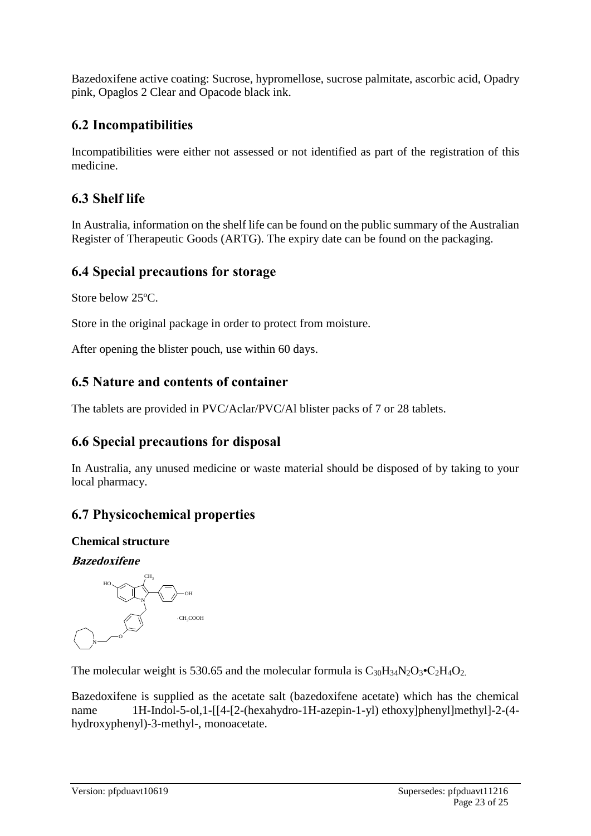Bazedoxifene active coating: Sucrose, hypromellose, sucrose palmitate, ascorbic acid, Opadry pink, Opaglos 2 Clear and Opacode black ink.

### **6.2 Incompatibilities**

Incompatibilities were either not assessed or not identified as part of the registration of this medicine.

### **6.3 Shelf life**

In Australia, information on the shelf life can be found on the public summary of the Australian Register of Therapeutic Goods (ARTG). The expiry date can be found on the packaging.

### **6.4 Special precautions for storage**

Store below 25ºC.

Store in the original package in order to protect from moisture.

After opening the blister pouch, use within 60 days.

### **6.5 Nature and contents of container**

The tablets are provided in PVC/Aclar/PVC/Al blister packs of 7 or 28 tablets.

### **6.6 Special precautions for disposal**

In Australia, any unused medicine or waste material should be disposed of by taking to your local pharmacy.

### **6.7 Physicochemical properties**

### **Chemical structure**

**Bazedoxifene**



The molecular weight is 530.65 and the molecular formula is  $C_{30}H_{34}N_2O_3 \cdot C_2H_4O_2$ .

Bazedoxifene is supplied as the acetate salt (bazedoxifene acetate) which has the chemical name 1H-Indol-5-ol,1-[[4-[2-(hexahydro-1H-azepin-1-yl) ethoxy]phenyl]methyl]-2-(4hydroxyphenyl)-3-methyl-, monoacetate.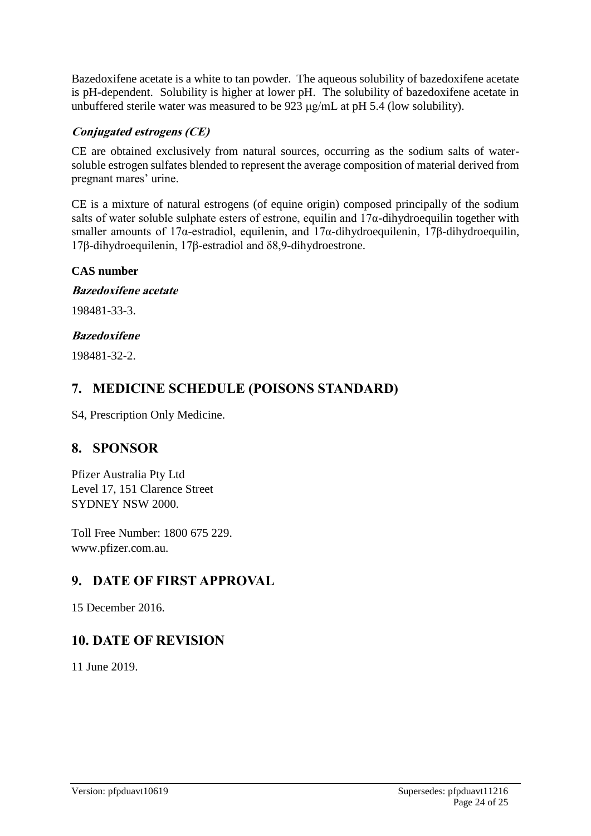Bazedoxifene acetate is a white to tan powder. The aqueous solubility of bazedoxifene acetate is pH-dependent. Solubility is higher at lower pH. The solubility of bazedoxifene acetate in unbuffered sterile water was measured to be 923 μg/mL at pH 5.4 (low solubility).

#### **Conjugated estrogens (CE)**

CE are obtained exclusively from natural sources, occurring as the sodium salts of watersoluble estrogen sulfates blended to represent the average composition of material derived from pregnant mares' urine.

CE is a mixture of natural estrogens (of equine origin) composed principally of the sodium salts of water soluble sulphate esters of estrone, equilin and  $17\alpha$ -dihydroequilin together with smaller amounts of 17α-estradiol, equilenin, and 17α-dihydroequilenin, 17β-dihydroequilin, 17β-dihydroequilenin, 17β-estradiol and δ8,9-dihydroestrone.

#### **CAS number**

**Bazedoxifene acetate**

198481-33-3.

#### **Bazedoxifene**

198481-32-2.

### **7. MEDICINE SCHEDULE (POISONS STANDARD)**

S4, Prescription Only Medicine.

### **8. SPONSOR**

Pfizer Australia Pty Ltd Level 17, 151 Clarence Street SYDNEY NSW 2000.

Toll Free Number: 1800 675 229. www.pfizer.com.au.

### **9. DATE OF FIRST APPROVAL**

15 December 2016.

### **10. DATE OF REVISION**

11 June 2019.